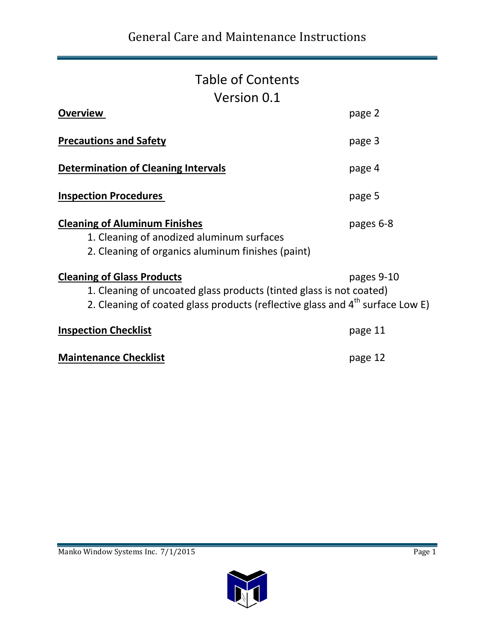### Table of Contents Version 0.1

| <b>Overview</b>                                                                                                                                                                                       | page 2       |
|-------------------------------------------------------------------------------------------------------------------------------------------------------------------------------------------------------|--------------|
| <b>Precautions and Safety</b>                                                                                                                                                                         | page 3       |
| <b>Determination of Cleaning Intervals</b>                                                                                                                                                            | page 4       |
| <b>Inspection Procedures</b>                                                                                                                                                                          | page 5       |
| <b>Cleaning of Aluminum Finishes</b><br>1. Cleaning of anodized aluminum surfaces<br>2. Cleaning of organics aluminum finishes (paint)                                                                | pages 6-8    |
| <b>Cleaning of Glass Products</b><br>1. Cleaning of uncoated glass products (tinted glass is not coated)<br>2. Cleaning of coated glass products (reflective glass and 4 <sup>th</sup> surface Low E) | pages $9-10$ |
| <b>Inspection Checklist</b>                                                                                                                                                                           | page 11      |
| <b>Maintenance Checklist</b>                                                                                                                                                                          | page 12      |

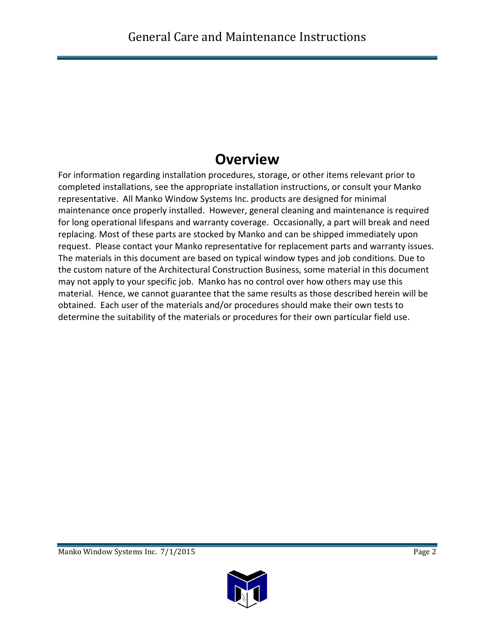## **Overview**

For information regarding installation procedures, storage, or other items relevant prior to completed installations, see the appropriate installation instructions, or consult your Manko representative. All Manko Window Systems Inc. products are designed for minimal maintenance once properly installed. However, general cleaning and maintenance is required for long operational lifespans and warranty coverage. Occasionally, a part will break and need replacing. Most of these parts are stocked by Manko and can be shipped immediately upon request. Please contact your Manko representative for replacement parts and warranty issues. The materials in this document are based on typical window types and job conditions. Due to the custom nature of the Architectural Construction Business, some material in this document may not apply to your specific job. Manko has no control over how others may use this material. Hence, we cannot guarantee that the same results as those described herein will be obtained. Each user of the materials and/or procedures should make their own tests to determine the suitability of the materials or procedures for their own particular field use.

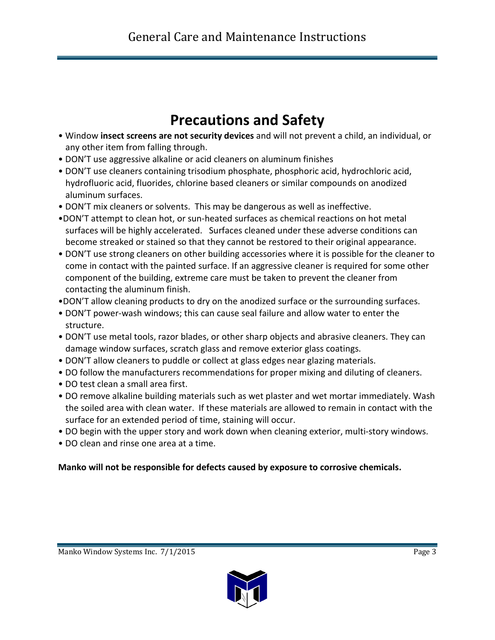# **Precautions and Safety**

- Window **insect screens are not security devices** and will not prevent a child, an individual, or any other item from falling through.
- DON'T use aggressive alkaline or acid cleaners on aluminum finishes
- DON'T use cleaners containing trisodium phosphate, phosphoric acid, hydrochloric acid, hydrofluoric acid, fluorides, chlorine based cleaners or similar compounds on anodized aluminum surfaces.
- DON'T mix cleaners or solvents. This may be dangerous as well as ineffective.
- •DON'T attempt to clean hot, or sun-heated surfaces as chemical reactions on hot metal surfaces will be highly accelerated. Surfaces cleaned under these adverse conditions can become streaked or stained so that they cannot be restored to their original appearance.
- DON'T use strong cleaners on other building accessories where it is possible for the cleaner to come in contact with the painted surface. If an aggressive cleaner is required for some other component of the building, extreme care must be taken to prevent the cleaner from contacting the aluminum finish.
- •DON'T allow cleaning products to dry on the anodized surface or the surrounding surfaces.
- DON'T power-wash windows; this can cause seal failure and allow water to enter the structure.
- DON'T use metal tools, razor blades, or other sharp objects and abrasive cleaners. They can damage window surfaces, scratch glass and remove exterior glass coatings.
- DON'T allow cleaners to puddle or collect at glass edges near glazing materials.
- DO follow the manufacturers recommendations for proper mixing and diluting of cleaners.
- DO test clean a small area first.
- DO remove alkaline building materials such as wet plaster and wet mortar immediately. Wash the soiled area with clean water. If these materials are allowed to remain in contact with the surface for an extended period of time, staining will occur.
- DO begin with the upper story and work down when cleaning exterior, multi-story windows.
- DO clean and rinse one area at a time.

### **Manko will not be responsible for defects caused by exposure to corrosive chemicals.**

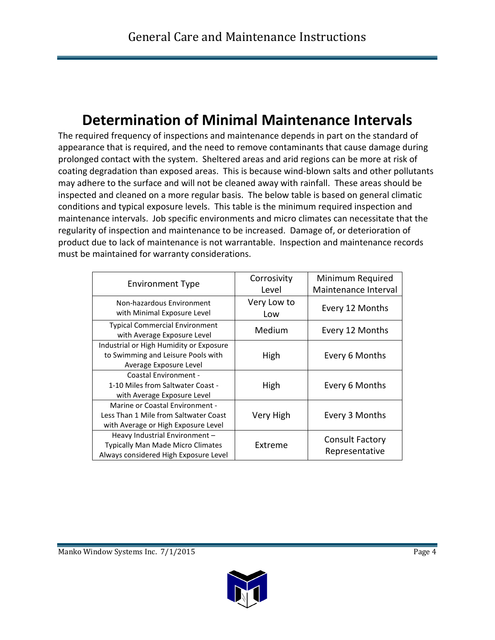# **Determination of Minimal Maintenance Intervals**

The required frequency of inspections and maintenance depends in part on the standard of appearance that is required, and the need to remove contaminants that cause damage during prolonged contact with the system. Sheltered areas and arid regions can be more at risk of coating degradation than exposed areas. This is because wind-blown salts and other pollutants may adhere to the surface and will not be cleaned away with rainfall. These areas should be inspected and cleaned on a more regular basis. The below table is based on general climatic conditions and typical exposure levels. This table is the minimum required inspection and maintenance intervals. Job specific environments and micro climates can necessitate that the regularity of inspection and maintenance to be increased. Damage of, or deterioration of product due to lack of maintenance is not warrantable. Inspection and maintenance records must be maintained for warranty considerations.

| <b>Environment Type</b>                  | Corrosivity<br>Level | Minimum Required<br>Maintenance Interval |
|------------------------------------------|----------------------|------------------------------------------|
|                                          |                      |                                          |
| Non-hazardous Environment                | Very Low to          |                                          |
| with Minimal Exposure Level              | Low                  | Every 12 Months                          |
| <b>Typical Commercial Environment</b>    | Medium               |                                          |
| with Average Exposure Level              |                      | Every 12 Months                          |
| Industrial or High Humidity or Exposure  |                      |                                          |
| to Swimming and Leisure Pools with       | High                 | Every 6 Months                           |
| Average Exposure Level                   |                      |                                          |
| <b>Coastal Environment -</b>             |                      |                                          |
| 1-10 Miles from Saltwater Coast -        | High                 | Every 6 Months                           |
| with Average Exposure Level              |                      |                                          |
| Marine or Coastal Environment -          |                      |                                          |
| Less Than 1 Mile from Saltwater Coast    | Very High            | Every 3 Months                           |
| with Average or High Exposure Level      |                      |                                          |
| Heavy Industrial Environment -           |                      | <b>Consult Factory</b>                   |
| <b>Typically Man Made Micro Climates</b> | Extreme              |                                          |
| Always considered High Exposure Level    |                      | Representative                           |

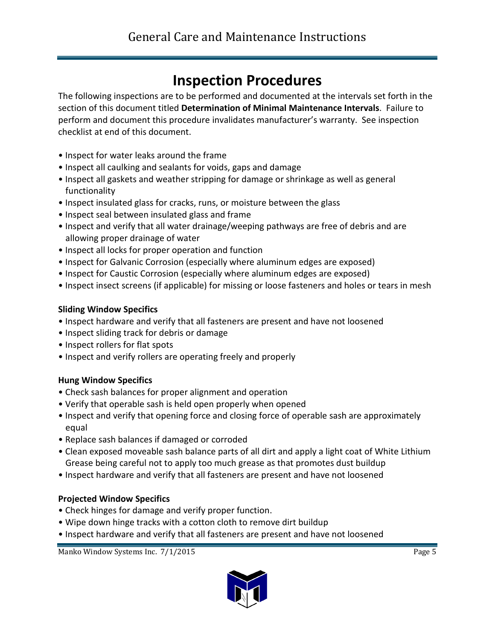# **Inspection Procedures**

The following inspections are to be performed and documented at the intervals set forth in the section of this document titled **Determination of Minimal Maintenance Intervals**. Failure to perform and document this procedure invalidates manufacturer's warranty. See inspection checklist at end of this document.

- Inspect for water leaks around the frame
- Inspect all caulking and sealants for voids, gaps and damage
- Inspect all gaskets and weather stripping for damage or shrinkage as well as general functionality
- Inspect insulated glass for cracks, runs, or moisture between the glass
- Inspect seal between insulated glass and frame
- Inspect and verify that all water drainage/weeping pathways are free of debris and are allowing proper drainage of water
- Inspect all locks for proper operation and function
- Inspect for Galvanic Corrosion (especially where aluminum edges are exposed)
- Inspect for Caustic Corrosion (especially where aluminum edges are exposed)
- Inspect insect screens (if applicable) for missing or loose fasteners and holes or tears in mesh

#### **Sliding Window Specifics**

- Inspect hardware and verify that all fasteners are present and have not loosened
- Inspect sliding track for debris or damage
- Inspect rollers for flat spots
- Inspect and verify rollers are operating freely and properly

#### **Hung Window Specifics**

- Check sash balances for proper alignment and operation
- Verify that operable sash is held open properly when opened
- Inspect and verify that opening force and closing force of operable sash are approximately equal
- Replace sash balances if damaged or corroded
- Clean exposed moveable sash balance parts of all dirt and apply a light coat of White Lithium Grease being careful not to apply too much grease as that promotes dust buildup
- Inspect hardware and verify that all fasteners are present and have not loosened

#### **Projected Window Specifics**

- Check hinges for damage and verify proper function.
- Wipe down hinge tracks with a cotton cloth to remove dirt buildup
- Inspect hardware and verify that all fasteners are present and have not loosened

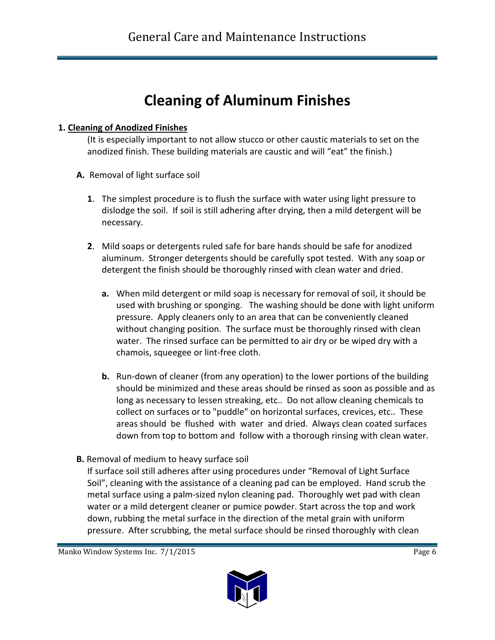# **Cleaning of Aluminum Finishes**

#### **1. Cleaning of Anodized Finishes**

(It is especially important to not allow stucco or other caustic materials to set on the anodized finish. These building materials are caustic and will "eat" the finish.)

- **A.** Removal of light surface soil
	- **1**. The simplest procedure is to flush the surface with water using light pressure to dislodge the soil. If soil is still adhering after drying, then a mild detergent will be necessary.
	- **2**. Mild soaps or detergents ruled safe for bare hands should be safe for anodized aluminum. Stronger detergents should be carefully spot tested. With any soap or detergent the finish should be thoroughly rinsed with clean water and dried.
		- **a.** When mild detergent or mild soap is necessary for removal of soil, it should be used with brushing or sponging. The washing should be done with light uniform pressure. Apply cleaners only to an area that can be conveniently cleaned without changing position. The surface must be thoroughly rinsed with clean water. The rinsed surface can be permitted to air dry or be wiped dry with a chamois, squeegee or lint-free cloth.
		- **b.** Run-down of cleaner (from any operation) to the lower portions of the building should be minimized and these areas should be rinsed as soon as possible and as long as necessary to lessen streaking, etc.. Do not allow cleaning chemicals to collect on surfaces or to "puddle" on horizontal surfaces, crevices, etc.. These areas should be flushed with water and dried. Always clean coated surfaces down from top to bottom and follow with a thorough rinsing with clean water.
- **B.** Removal of medium to heavy surface soil

If surface soil still adheres after using procedures under "Removal of Light Surface Soil", cleaning with the assistance of a cleaning pad can be employed. Hand scrub the metal surface using a palm-sized nylon cleaning pad. Thoroughly wet pad with clean water or a mild detergent cleaner or pumice powder. Start across the top and work down, rubbing the metal surface in the direction of the metal grain with uniform pressure. After scrubbing, the metal surface should be rinsed thoroughly with clean

Manko Window Systems Inc. 7/1/2015

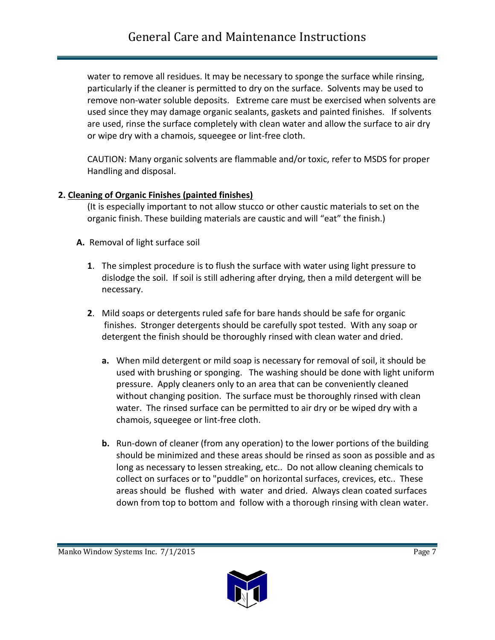water to remove all residues. It may be necessary to sponge the surface while rinsing, particularly if the cleaner is permitted to dry on the surface. Solvents may be used to remove non-water soluble deposits. Extreme care must be exercised when solvents are used since they may damage organic sealants, gaskets and painted finishes. If solvents are used, rinse the surface completely with clean water and allow the surface to air dry or wipe dry with a chamois, squeegee or lint-free cloth.

CAUTION: Many organic solvents are flammable and/or toxic, refer to MSDS for proper Handling and disposal.

#### **2. Cleaning of Organic Finishes (painted finishes)**

(It is especially important to not allow stucco or other caustic materials to set on the organic finish. These building materials are caustic and will "eat" the finish.)

- **A.** Removal of light surface soil
	- **1**. The simplest procedure is to flush the surface with water using light pressure to dislodge the soil. If soil is still adhering after drying, then a mild detergent will be necessary.
	- **2**. Mild soaps or detergents ruled safe for bare hands should be safe for organic finishes. Stronger detergents should be carefully spot tested. With any soap or detergent the finish should be thoroughly rinsed with clean water and dried.
		- **a.** When mild detergent or mild soap is necessary for removal of soil, it should be used with brushing or sponging. The washing should be done with light uniform pressure. Apply cleaners only to an area that can be conveniently cleaned without changing position. The surface must be thoroughly rinsed with clean water. The rinsed surface can be permitted to air dry or be wiped dry with a chamois, squeegee or lint-free cloth.
		- **b.** Run-down of cleaner (from any operation) to the lower portions of the building should be minimized and these areas should be rinsed as soon as possible and as long as necessary to lessen streaking, etc.. Do not allow cleaning chemicals to collect on surfaces or to "puddle" on horizontal surfaces, crevices, etc.. These areas should be flushed with water and dried. Always clean coated surfaces down from top to bottom and follow with a thorough rinsing with clean water.

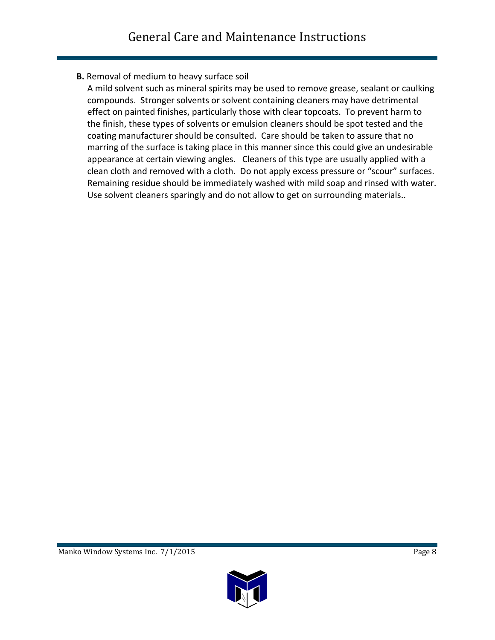### **B.** Removal of medium to heavy surface soil

A mild solvent such as mineral spirits may be used to remove grease, sealant or caulking compounds. Stronger solvents or solvent containing cleaners may have detrimental effect on painted finishes, particularly those with clear topcoats. To prevent harm to the finish, these types of solvents or emulsion cleaners should be spot tested and the coating manufacturer should be consulted. Care should be taken to assure that no marring of the surface is taking place in this manner since this could give an undesirable appearance at certain viewing angles. Cleaners of this type are usually applied with a clean cloth and removed with a cloth. Do not apply excess pressure or "scour" surfaces. Remaining residue should be immediately washed with mild soap and rinsed with water. Use solvent cleaners sparingly and do not allow to get on surrounding materials..

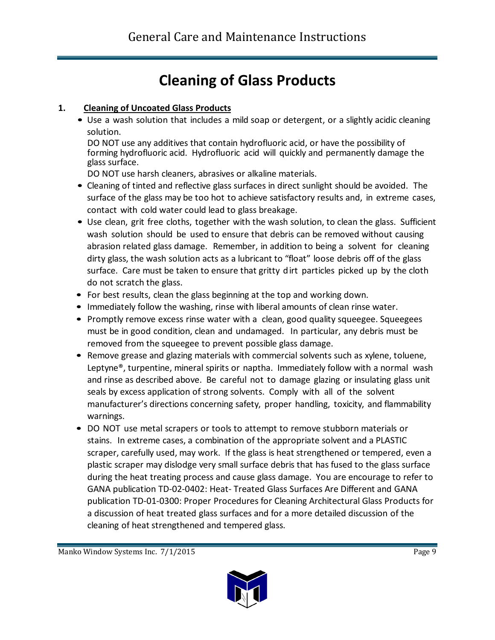# **Cleaning of Glass Products**

### **1. Cleaning of Uncoated Glass Products**

• Use a wash solution that includes a mild soap or detergent, or a slightly acidic cleaning solution.

DO NOT use any additives that contain hydrofluoric acid, or have the possibility of forming hydrofluoric acid. Hydrofluoric acid will quickly and permanently damage the glass surface.

DO NOT use harsh cleaners, abrasives or alkaline materials.

- Cleaning of tinted and reflective glass surfaces in direct sunlight should be avoided. The surface of the glass may be too hot to achieve satisfactory results and, in extreme cases, contact with cold water could lead to glass breakage.
- Use clean, grit free cloths, together with the wash solution, to clean the glass. Sufficient wash solution should be used to ensure that debris can be removed without causing abrasion related glass damage. Remember, in addition to being a solvent for cleaning dirty glass, the wash solution acts as a lubricant to "float" loose debris off of the glass surface. Care must be taken to ensure that gritty dirt particles picked up by the cloth do not scratch the glass.
- For best results, clean the glass beginning at the top and working down.
- Immediately follow the washing, rinse with liberal amounts of clean rinse water.
- Promptly remove excess rinse water with a clean, good quality squeegee. Squeegees must be in good condition, clean and undamaged. In particular, any debris must be removed from the squeegee to prevent possible glass damage.
- Remove grease and glazing materials with commercial solvents such as xylene, toluene, Leptyne<sup>®</sup>, turpentine, mineral spirits or naptha. Immediately follow with a normal wash and rinse as described above. Be careful not to damage glazing or insulating glass unit seals by excess application of strong solvents. Comply with all of the solvent manufacturer's directions concerning safety, proper handling, toxicity, and flammability warnings.
- DO NOT use metal scrapers or tools to attempt to remove stubborn materials or stains. In extreme cases, a combination of the appropriate solvent and a PLASTIC scraper, carefully used, may work. If the glass is heat strengthened or tempered, even a plastic scraper may dislodge very small surface debris that has fused to the glass surface during the heat treating process and cause glass damage. You are encourage to refer to GANA publication TD-02-0402: Heat- Treated Glass Surfaces Are Different and GANA publication TD-01-0300: Proper Procedures for Cleaning Architectural Glass Products for a discussion of heat treated glass surfaces and for a more detailed discussion of the cleaning of heat strengthened and tempered glass.

Manko Window Systems Inc. 7/1/2015

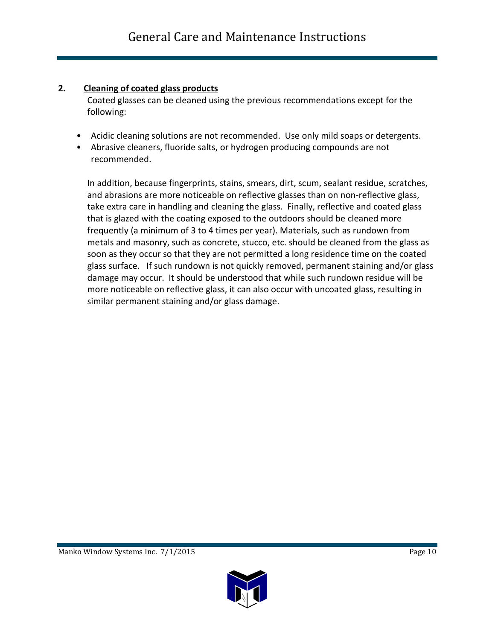#### **2. Cleaning of coated glass products**

Coated glasses can be cleaned using the previous recommendations except for the following:

- Acidic cleaning solutions are not recommended. Use only mild soaps or detergents.
- Abrasive cleaners, fluoride salts, or hydrogen producing compounds are not recommended.

In addition, because fingerprints, stains, smears, dirt, scum, sealant residue, scratches, and abrasions are more noticeable on reflective glasses than on non-reflective glass, take extra care in handling and cleaning the glass. Finally, reflective and coated glass that is glazed with the coating exposed to the outdoors should be cleaned more frequently (a minimum of 3 to 4 times per year). Materials, such as rundown from metals and masonry, such as concrete, stucco, etc. should be cleaned from the glass as soon as they occur so that they are not permitted a long residence time on the coated glass surface. If such rundown is not quickly removed, permanent staining and/or glass damage may occur. It should be understood that while such rundown residue will be more noticeable on reflective glass, it can also occur with uncoated glass, resulting in similar permanent staining and/or glass damage.

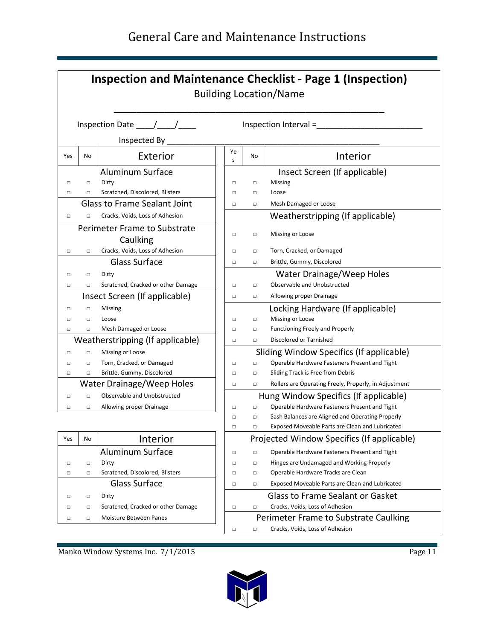### General Care and Maintenance Instructions

| <b>Inspection and Maintenance Checklist - Page 1 (Inspection)</b><br><b>Building Location/Name</b> |                                                                  |                                          |                                        |        |                                                       |
|----------------------------------------------------------------------------------------------------|------------------------------------------------------------------|------------------------------------------|----------------------------------------|--------|-------------------------------------------------------|
|                                                                                                    | Inspection Date $\_\_\_\_\_\_\_\_\_\_\$<br>Inspection Interval = |                                          |                                        |        |                                                       |
|                                                                                                    | Inspected By                                                     |                                          |                                        |        |                                                       |
| Yes                                                                                                | No                                                               | Exterior                                 | Ye<br>S                                | No     | Interior                                              |
|                                                                                                    |                                                                  | <b>Aluminum Surface</b>                  |                                        |        | Insect Screen (If applicable)                         |
| $\Box$                                                                                             | $\Box$                                                           | Dirty                                    | $\Box$                                 | $\Box$ | Missing                                               |
| □                                                                                                  | $\Box$                                                           | Scratched, Discolored, Blisters          | $\Box$                                 | $\Box$ | Loose                                                 |
|                                                                                                    |                                                                  | <b>Glass to Frame Sealant Joint</b>      | □                                      | $\Box$ | Mesh Damaged or Loose                                 |
| $\Box$                                                                                             |                                                                  | Cracks, Voids, Loss of Adhesion          |                                        |        | Weatherstripping (If applicable)                      |
|                                                                                                    |                                                                  | Perimeter Frame to Substrate<br>Caulking | □                                      | □      | Missing or Loose                                      |
| $\Box$                                                                                             | $\Box$                                                           | Cracks, Voids, Loss of Adhesion          | $\Box$                                 | $\Box$ | Torn, Cracked, or Damaged                             |
|                                                                                                    |                                                                  | <b>Glass Surface</b>                     | □                                      | □      | Brittle, Gummy, Discolored                            |
| $\Box$                                                                                             | $\Box$                                                           | Dirty                                    |                                        |        | Water Drainage/Weep Holes                             |
| $\Box$                                                                                             | $\Box$                                                           | Scratched, Cracked or other Damage       | □                                      | $\Box$ | Observable and Unobstructed                           |
|                                                                                                    |                                                                  | Insect Screen (If applicable)            | □                                      | □      | Allowing proper Drainage                              |
| $\Box$                                                                                             | $\Box$                                                           | Missing                                  |                                        |        | Locking Hardware (If applicable)                      |
| $\Box$                                                                                             | $\Box$                                                           | Loose                                    | □                                      | $\Box$ | Missing or Loose                                      |
| $\Box$                                                                                             | $\Box$                                                           | Mesh Damaged or Loose                    | □                                      | $\Box$ | <b>Functioning Freely and Properly</b>                |
|                                                                                                    |                                                                  | Weatherstripping (If applicable)         | Discolored or Tarnished<br>$\Box$<br>□ |        |                                                       |
| □                                                                                                  | $\Box$                                                           | Missing or Loose                         |                                        |        | Sliding Window Specifics (If applicable)              |
| $\Box$                                                                                             | $\Box$                                                           | Torn, Cracked, or Damaged                | □                                      | $\Box$ | Operable Hardware Fasteners Present and Tight         |
| $\Box$                                                                                             | $\Box$                                                           | Brittle, Gummy, Discolored               | □                                      | □      | Sliding Track is Free from Debris                     |
|                                                                                                    |                                                                  | Water Drainage/Weep Holes                | □                                      | $\Box$ | Rollers are Operating Freely, Properly, in Adjustment |
| $\Box$                                                                                             | $\Box$                                                           | Observable and Unobstructed              |                                        |        | Hung Window Specifics (If applicable)                 |
| □                                                                                                  | $\Box$                                                           | Allowing proper Drainage                 | □                                      | $\Box$ | Operable Hardware Fasteners Present and Tight         |
|                                                                                                    |                                                                  |                                          | $\Box$                                 | □      | Sash Balances are Aligned and Operating Properly      |
|                                                                                                    |                                                                  |                                          | □                                      |        | Exposed Moveable Parts are Clean and Lubricated       |
| Yes                                                                                                | No                                                               | Interior                                 |                                        |        | Projected Window Specifics (If applicable)            |
|                                                                                                    |                                                                  | <b>Aluminum Surface</b>                  | □                                      | $\Box$ | Operable Hardware Fasteners Present and Tight         |
| $\Box$                                                                                             | $\Box$                                                           | Dirty                                    | $\Box$                                 | $\Box$ | Hinges are Undamaged and Working Properly             |
| □                                                                                                  | $\Box$                                                           | Scratched, Discolored, Blisters          | $\Box$                                 | $\Box$ | Operable Hardware Tracks are Clean                    |
|                                                                                                    |                                                                  | <b>Glass Surface</b>                     | □                                      | $\Box$ | Exposed Moveable Parts are Clean and Lubricated       |
| □                                                                                                  | $\Box$                                                           | Dirty                                    |                                        |        | <b>Glass to Frame Sealant or Gasket</b>               |
| □                                                                                                  | $\Box$                                                           | Scratched, Cracked or other Damage       | $\Box$                                 | $\Box$ | Cracks, Voids, Loss of Adhesion                       |
| $\Box$                                                                                             | $\Box$                                                           | Moisture Between Panes                   |                                        |        | Perimeter Frame to Substrate Caulking                 |
|                                                                                                    |                                                                  |                                          | $\Box$                                 | $\Box$ | Cracks, Voids, Loss of Adhesion                       |

Manko Window Systems Inc. 7/1/2015 Page 11